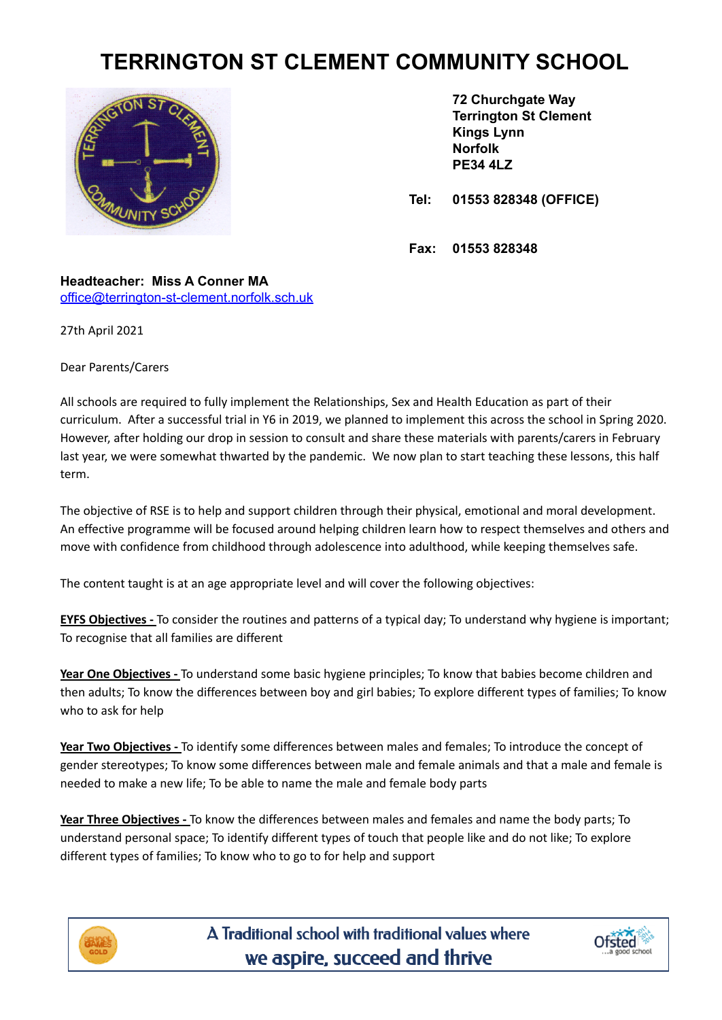## **TERRINGTON ST CLEMENT COMMUNITY SCHOOL**



**72 Churchgate Way Terrington St Clement Kings Lynn Norfolk PE34 4LZ**

**Tel: 01553 828348 (OFFICE)**

**Fax: 01553 828348**

**Headteacher: Miss A Conner MA** [office@terrington-st-clement.norfolk.sch.uk](mailto:office@terrington-st-clement.norfolk.sch.uk)

27th April 2021

Dear Parents/Carers

All schools are required to fully implement the Relationships, Sex and Health Education as part of their curriculum. After a successful trial in Y6 in 2019, we planned to implement this across the school in Spring 2020. However, after holding our drop in session to consult and share these materials with parents/carers in February last year, we were somewhat thwarted by the pandemic. We now plan to start teaching these lessons, this half term.

The objective of RSE is to help and support children through their physical, emotional and moral development. An effective programme will be focused around helping children learn how to respect themselves and others and move with confidence from childhood through adolescence into adulthood, while keeping themselves safe.

The content taught is at an age appropriate level and will cover the following objectives:

**EYFS Objectives -** To consider the routines and patterns of a typical day; To understand why hygiene is important; To recognise that all families are different

**Year One Objectives -** To understand some basic hygiene principles; To know that babies become children and then adults; To know the differences between boy and girl babies; To explore different types of families; To know who to ask for help

**Year Two Objectives -** To identify some differences between males and females; To introduce the concept of gender stereotypes; To know some differences between male and female animals and that a male and female is needed to make a new life; To be able to name the male and female body parts

**Year Three Objectives -** To know the differences between males and females and name the body parts; To understand personal space; To identify different types of touch that people like and do not like; To explore different types of families; To know who to go to for help and support



A Traditional school with traditional values where we aspire, succeed and thrive